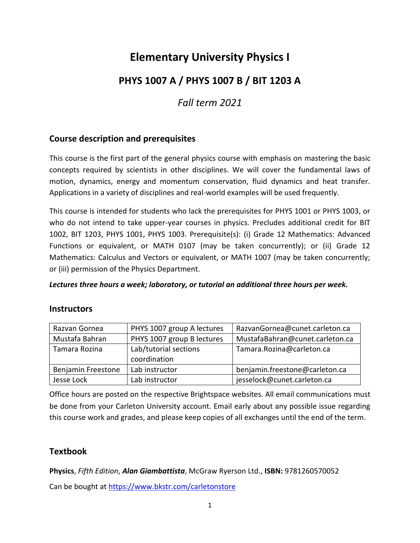# **Elementary University Physics I**

## **PHYS 1007 A / PHYS 1007 B / BIT 1203 A**

## *Fall term 2021*

### **Course description and prerequisites**

This course is the first part of the general physics course with emphasis on mastering the basic concepts required by scientists in other disciplines. We will cover the fundamental laws of motion, dynamics, energy and momentum conservation, fluid dynamics and heat transfer. Applications in a variety of disciplines and real-world examples will be used frequently.

This course is intended for students who lack the prerequisites for PHYS 1001 or PHYS 1003, or who do not intend to take upper-year courses in physics. Precludes additional credit for BIT 1002, BIT 1203, PHYS 1001, PHYS 1003. Prerequisite(s): (i) Grade 12 Mathematics: Advanced Functions or equivalent, or MATH 0107 (may be taken concurrently); or (ii) Grade 12 Mathematics: Calculus and Vectors or equivalent, or MATH 1007 (may be taken concurrently; or (iii) permission of the Physics Department.

*Lectures three hours a week; laboratory, or tutorial an additional three hours per week.*

#### **Instructors**

| Razvan Gornea      | PHYS 1007 group A lectures            | RazvanGornea@cunet.carleton.ca  |
|--------------------|---------------------------------------|---------------------------------|
| Mustafa Bahran     | PHYS 1007 group B lectures            | MustafaBahran@cunet.carleton.ca |
| Tamara Rozina      | Lab/tutorial sections<br>coordination | Tamara.Rozina@carleton.ca       |
| Benjamin Freestone | Lab instructor                        | benjamin.freestone@carleton.ca  |
| Jesse Lock         | Lab instructor                        | jesselock@cunet.carleton.ca     |

Office hours are posted on the respective Brightspace websites. All email communications must be done from your Carleton University account. Email early about any possible issue regarding this course work and grades, and please keep copies of all exchanges until the end of the term.

### **Textbook**

**Physics**, *Fifth Edition*, *Alan Giambattista*, McGraw Ryerson Ltd., **ISBN:** 9781260570052 Can be bought at<https://www.bkstr.com/carletonstore>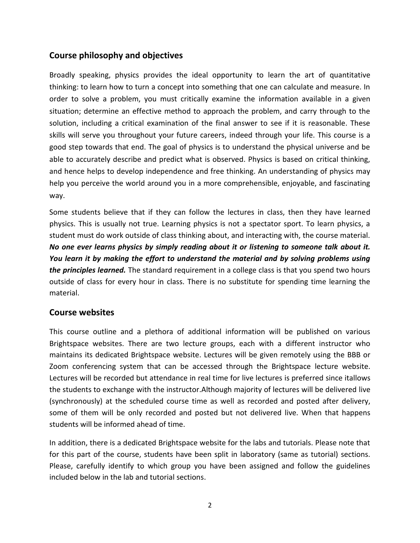### **Course philosophy and objectives**

Broadly speaking, physics provides the ideal opportunity to learn the art of quantitative thinking: to learn how to turn a concept into something that one can calculate and measure. In order to solve a problem, you must critically examine the information available in a given situation; determine an effective method to approach the problem, and carry through to the solution, including a critical examination of the final answer to see if it is reasonable. These skills will serve you throughout your future careers, indeed through your life. This course is a good step towards that end. The goal of physics is to understand the physical universe and be able to accurately describe and predict what is observed. Physics is based on critical thinking, and hence helps to develop independence and free thinking. An understanding of physics may help you perceive the world around you in a more comprehensible, enjoyable, and fascinating way.

Some students believe that if they can follow the lectures in class, then they have learned physics. This is usually not true. Learning physics is not a spectator sport. To learn physics, a student must do work outside of class thinking about, and interacting with, the course material. *No one ever learns physics by simply reading about it or listening to someone talk about it. You learn it by making the effort to understand the material and by solving problems using the principles learned.* The standard requirement in a college class is that you spend two hours outside of class for every hour in class. There is no substitute for spending time learning the material.

### **Course websites**

This course outline and a plethora of additional information will be published on various Brightspace websites. There are two lecture groups, each with a different instructor who maintains its dedicated Brightspace website. Lectures will be given remotely using the BBB or Zoom conferencing system that can be accessed through the Brightspace lecture website. Lectures will be recorded but attendance in real time for live lectures is preferred since itallows the students to exchange with the instructor.Although majority of lectures will be delivered live (synchronously) at the scheduled course time as well as recorded and posted after delivery, some of them will be only recorded and posted but not delivered live. When that happens students will be informed ahead of time.

In addition, there is a dedicated Brightspace website for the labs and tutorials. Please note that for this part of the course, students have been split in laboratory (same as tutorial) sections. Please, carefully identify to which group you have been assigned and follow the guidelines included below in the lab and tutorial sections.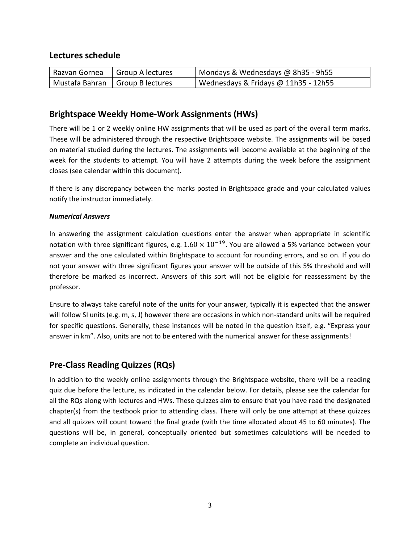#### **Lectures schedule**

| Razvan Gornea                     | Group A lectures | Mondays & Wednesdays @ 8h35 - 9h55   |
|-----------------------------------|------------------|--------------------------------------|
| Mustafa Bahran   Group B lectures |                  | Wednesdays & Fridays @ 11h35 - 12h55 |

### **Brightspace Weekly Home-Work Assignments (HWs)**

There will be 1 or 2 weekly online HW assignments that will be used as part of the overall term marks. These will be administered through the respective Brightspace website. The assignments will be based on material studied during the lectures. The assignments will become available at the beginning of the week for the students to attempt. You will have 2 attempts during the week before the assignment closes (see calendar within this document).

If there is any discrepancy between the marks posted in Brightspace grade and your calculated values notify the instructor immediately.

#### *Numerical Answers*

In answering the assignment calculation questions enter the answer when appropriate in scientific notation with three significant figures, e.g.  $1.60 \times 10^{-19}$ . You are allowed a 5% variance between your answer and the one calculated within Brightspace to account for rounding errors, and so on. If you do not your answer with three significant figures your answer will be outside of this 5% threshold and will therefore be marked as incorrect. Answers of this sort will not be eligible for reassessment by the professor.

Ensure to always take careful note of the units for your answer, typically it is expected that the answer will follow SI units (e.g. m, s, J) however there are occasions in which non-standard units will be required for specific questions. Generally, these instances will be noted in the question itself, e.g. "Express your answer in km". Also, units are not to be entered with the numerical answer for these assignments!

### **Pre-Class Reading Quizzes (RQs)**

In addition to the weekly online assignments through the Brightspace website, there will be a reading quiz due before the lecture, as indicated in the calendar below. For details, please see the calendar for all the RQs along with lectures and HWs. These quizzes aim to ensure that you have read the designated chapter(s) from the textbook prior to attending class. There will only be one attempt at these quizzes and all quizzes will count toward the final grade (with the time allocated about 45 to 60 minutes). The questions will be, in general, conceptually oriented but sometimes calculations will be needed to complete an individual question.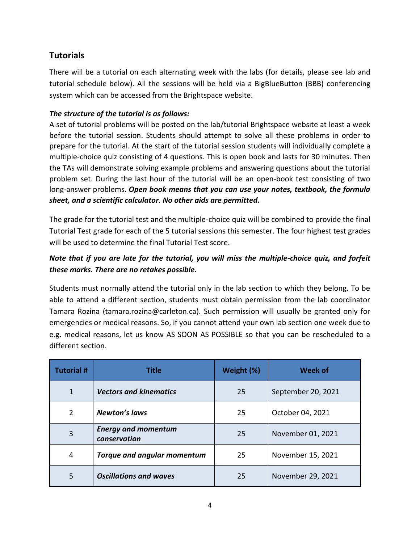### **Tutorials**

There will be a tutorial on each alternating week with the labs (for details, please see lab and tutorial schedule below). All the sessions will be held via a BigBlueButton (BBB) conferencing system which can be accessed from the Brightspace website.

#### *The structure of the tutorial is as follows:*

A set of tutorial problems will be posted on the lab/tutorial Brightspace website at least a week before the tutorial session. Students should attempt to solve all these problems in order to prepare for the tutorial. At the start of the tutorial session students will individually complete a multiple-choice quiz consisting of 4 questions. This is open book and lasts for 30 minutes. Then the TAs will demonstrate solving example problems and answering questions about the tutorial problem set. During the last hour of the tutorial will be an open-book test consisting of two long-answer problems. *Open book means that you can use your notes, textbook, the formula sheet, and a scientific calculator. No other aids are permitted.*

The grade for the tutorial test and the multiple-choice quiz will be combined to provide the final Tutorial Test grade for each of the 5 tutorial sessions this semester. The four highest test grades will be used to determine the final Tutorial Test score.

### *Note that if you are late for the tutorial, you will miss the multiple-choice quiz, and forfeit these marks. There are no retakes possible.*

Students must normally attend the tutorial only in the lab section to which they belong. To be able to attend a different section, students must obtain permission from the lab coordinator Tamara Rozina (tamara.rozina@carleton.ca). Such permission will usually be granted only for emergencies or medical reasons. So, if you cannot attend your own lab section one week due to e.g. medical reasons, let us know AS SOON AS POSSIBLE so that you can be rescheduled to a different section.

| <b>Tutorial#</b> | Title                                      | Weight (%) | <b>Week of</b>     |
|------------------|--------------------------------------------|------------|--------------------|
| $\mathbf{1}$     | <b>Vectors and kinematics</b>              | 25         | September 20, 2021 |
| 2                | <b>Newton's laws</b>                       | 25         | October 04, 2021   |
| 3                | <b>Energy and momentum</b><br>conservation | 25         | November 01, 2021  |
| $\overline{4}$   | <b>Torque and angular momentum</b>         | 25         | November 15, 2021  |
| 5                | <b>Oscillations and waves</b>              | 25         | November 29, 2021  |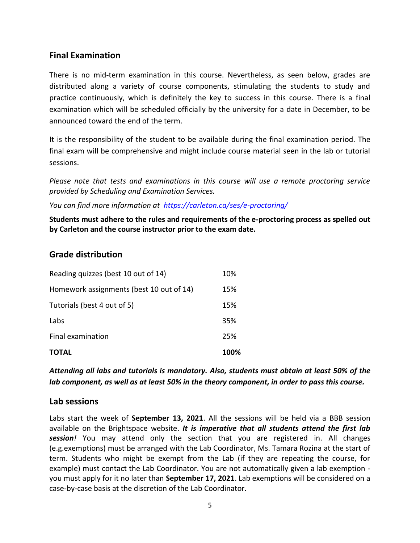### **Final Examination**

There is no mid-term examination in this course. Nevertheless, as seen below, grades are distributed along a variety of course components, stimulating the students to study and practice continuously, which is definitely the key to success in this course. There is a final examination which will be scheduled officially by the university for a date in December, to be announced toward the end of the term.

It is the responsibility of the student to be available during the final examination period. The final exam will be comprehensive and might include course material seen in the lab or tutorial sessions.

*Please note that tests and examinations in this course will use a remote proctoring service provided by Scheduling and Examination Services.*

*You can find more information at <https://carleton.ca/ses/e-proctoring/>*

**Students must adhere to the rules and requirements of the e-proctoring process as spelled out by Carleton and the course instructor prior to the exam date.**

### **Grade distribution**

| <b>TOTAL</b>                             | 100% |
|------------------------------------------|------|
| Final examination                        | 25%  |
| Labs                                     | 35%  |
| Tutorials (best 4 out of 5)              | 15%  |
| Homework assignments (best 10 out of 14) | 15%  |
| Reading quizzes (best 10 out of 14)      | 10%  |

*Attending all labs and tutorials is mandatory. Also, students must obtain at least 50% of the lab component, as well as at least 50% in the theory component, in order to pass this course.*

#### **Lab sessions**

Labs start the week of **September 13, 2021**. All the sessions will be held via a BBB session available on the Brightspace website. *It is imperative that all students attend the first lab session!* You may attend only the section that you are registered in. All changes (e.g.exemptions) must be arranged with the Lab Coordinator, Ms. Tamara Rozina at the start of term. Students who might be exempt from the Lab (if they are repeating the course, for example) must contact the Lab Coordinator. You are not automatically given a lab exemption you must apply for it no later than **September 17, 2021**. Lab exemptions will be considered on a case-by-case basis at the discretion of the Lab Coordinator.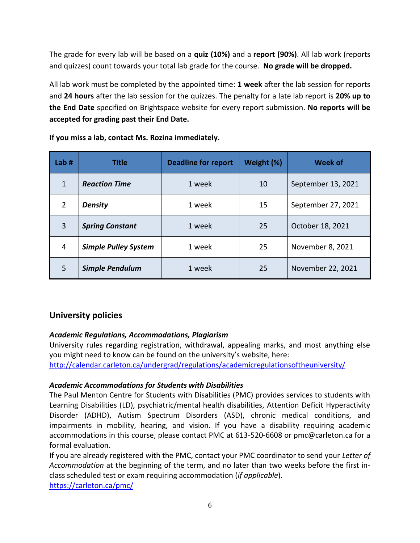The grade for every lab will be based on a **quiz (10%)** and a **report (90%)**. All lab work (reports and quizzes) count towards your total lab grade for the course. **No grade will be dropped.**

All lab work must be completed by the appointed time: **1 week** after the lab session for reports and **24 hours** after the lab session for the quizzes. The penalty for a late lab report is **20% up to the End Date** specified on Brightspace website for every report submission. **No reports will be accepted for grading past their End Date.**

| Lab#           | <b>Title</b>                | <b>Deadline for report</b> | Weight (%) | <b>Week of</b>     |
|----------------|-----------------------------|----------------------------|------------|--------------------|
| $\mathbf{1}$   | <b>Reaction Time</b>        | 1 week                     | 10         | September 13, 2021 |
| $\overline{2}$ | <b>Density</b>              | 1 week                     | 15         | September 27, 2021 |
| 3              | <b>Spring Constant</b>      | 1 week                     | 25         | October 18, 2021   |
| 4              | <b>Simple Pulley System</b> | 1 week                     | 25         | November 8, 2021   |
| 5              | <b>Simple Pendulum</b>      | 1 week                     | 25         | November 22, 2021  |

**If you miss a lab, contact Ms. Rozina immediately.**

### **University policies**

#### *Academic Regulations, Accommodations, Plagiarism*

University rules regarding registration, withdrawal, appealing marks, and most anything else you might need to know can be found on the university's website, here:

<http://calendar.carleton.ca/undergrad/regulations/academicregulationsoftheuniversity/>

#### *Academic Accommodations for Students with Disabilities*

The Paul Menton Centre for Students with Disabilities (PMC) provides services to students with Learning Disabilities (LD), psychiatric/mental health disabilities, Attention Deficit Hyperactivity Disorder (ADHD), Autism Spectrum Disorders (ASD), chronic medical conditions, and impairments in mobility, hearing, and vision. If you have a disability requiring academic accommodations in this course, please contact PMC at 613-520-6608 or pmc@carleton.ca for a formal evaluation.

If you are already registered with the PMC, contact your PMC coordinator to send your *Letter of Accommodation* at the beginning of the term, and no later than two weeks before the first inclass scheduled test or exam requiring accommodation (*if applicable*).

<https://carleton.ca/pmc/>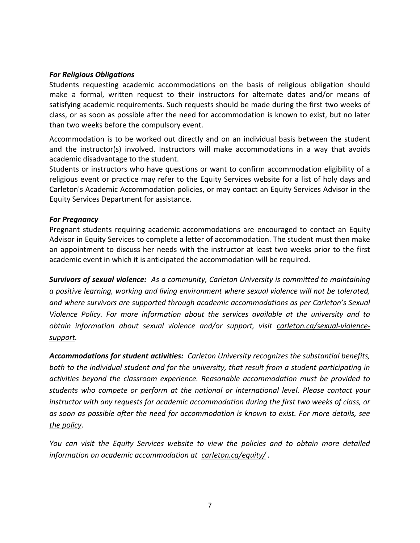#### *For Religious Obligations*

Students requesting academic accommodations on the basis of religious obligation should make a formal, written request to their instructors for alternate dates and/or means of satisfying academic requirements. Such requests should be made during the first two weeks of class, or as soon as possible after the need for accommodation is known to exist, but no later than two weeks before the compulsory event.

Accommodation is to be worked out directly and on an individual basis between the student and the instructor(s) involved. Instructors will make accommodations in a way that avoids academic disadvantage to the student.

Students or instructors who have questions or want to confirm accommodation eligibility of a religious event or practice may refer to the Equity Services website for a list of holy days and Carleton's Academic Accommodation policies, or may contact an Equity Services Advisor in the Equity Services Department for assistance.

#### *For Pregnancy*

Pregnant students requiring academic accommodations are encouraged to contact an Equity Advisor in Equity Services to complete a letter of accommodation. The student must then make an appointment to discuss her needs with the instructor at least two weeks prior to the first academic event in which it is anticipated the accommodation will be required.

*Survivors of sexual violence: As a community, Carleton University is committed to maintaining a positive learning, working and living environment where sexual violence will not be tolerated, and where survivors are supported through academic accommodations as per Carleton's Sexual Violence Policy. For more information about the services available at the university and to*  obtain information about sexual violence and/or support, visit [carleton.ca/sexual-violence](https://carleton.ca/sexual-violence-support)*[support.](https://carleton.ca/sexual-violence-support)* 

*Accommodations for student activities: Carleton University recognizes the substantial benefits, both to the individual student and for the university, that result from a student participating in activities beyond the classroom experience. Reasonable accommodation must be provided to students who compete or perform at the national or international level. Please contact your instructor with any requests for academic accommodation during the first two weeks of class, or as soon as possible after the need for accommodation is known to exist. For more details, see [the policy.](https://carleton.ca/senate/wp-content/uploads/Accommodation-for-Student-Activities-1.pdf)*

*You can visit the Equity Services website to view the policies and to obtain more detailed information on academic accommodation at [carleton.ca/equity/](http://carleton.ca/equity/) .*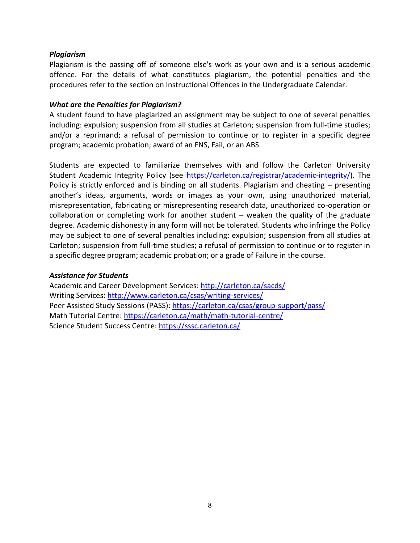#### *Plagiarism*

Plagiarism is the passing off of someone else's work as your own and is a serious academic offence. For the details of what constitutes plagiarism, the potential penalties and the procedures refer to the section on Instructional Offences in the Undergraduate Calendar.

#### *What are the Penalties for Plagiarism?*

A student found to have plagiarized an assignment may be subject to one of several penalties including: expulsion; suspension from all studies at Carleton; suspension from full-time studies; and/or a reprimand; a refusal of permission to continue or to register in a specific degree program; academic probation; award of an FNS, Fail, or an ABS.

Students are expected to familiarize themselves with and follow the Carleton University Student Academic Integrity Policy (see [https://carleton.ca/registrar/academic-integrity/\)](https://carleton.ca/registrar/academic-integrity/). The Policy is strictly enforced and is binding on all students. Plagiarism and cheating – presenting another's ideas, arguments, words or images as your own, using unauthorized material, misrepresentation, fabricating or misrepresenting research data, unauthorized co-operation or collaboration or completing work for another student – weaken the quality of the graduate degree. Academic dishonesty in any form will not be tolerated. Students who infringe the Policy may be subject to one of several penalties including: expulsion; suspension from all studies at Carleton; suspension from full-time studies; a refusal of permission to continue or to register in a specific degree program; academic probation; or a grade of Failure in the course.

#### *Assistance for Students*

Academic and Career Development Services:<http://carleton.ca/sacds/> Writing Services:<http://www.carleton.ca/csas/writing-services/> Peer Assisted Study Sessions (PASS):<https://carleton.ca/csas/group-support/pass/> Math Tutorial Centre:<https://carleton.ca/math/math-tutorial-centre/> Science Student Success Centre:<https://sssc.carleton.ca/>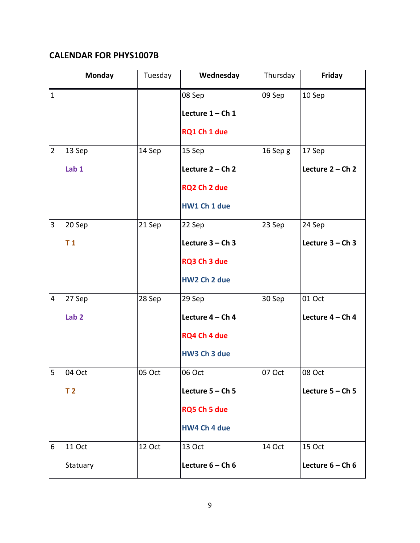### **CALENDAR FOR PHYS1007B**

|                | Monday           | Tuesday | Wednesday          | Thursday | <b>Friday</b>      |
|----------------|------------------|---------|--------------------|----------|--------------------|
| $\mathbf{1}$   |                  |         | 08 Sep             | 09 Sep   | 10 Sep             |
|                |                  |         | Lecture $1 - Ch$ 1 |          |                    |
|                |                  |         | RQ1 Ch 1 due       |          |                    |
| $\overline{2}$ | 13 Sep           | 14 Sep  | $15$ Sep           | 16 Sep g | 17 Sep             |
|                | Lab <sub>1</sub> |         | Lecture $2 - Ch$ 2 |          | Lecture 2 - Ch 2   |
|                |                  |         | RQ2 Ch 2 due       |          |                    |
|                |                  |         | HW1 Ch 1 due       |          |                    |
| 3              | 20 Sep           | 21 Sep  | $22$ Sep           | 23 Sep   | 24 Sep             |
|                | T <sub>1</sub>   |         | Lecture $3 - Ch$ 3 |          | Lecture $3 - Ch$ 3 |
|                |                  |         | RQ3 Ch 3 due       |          |                    |
|                |                  |         | HW2 Ch 2 due       |          |                    |
| $\overline{4}$ | 27 Sep           | 28 Sep  | 29 Sep             | 30 Sep   | 01 Oct             |
|                | Lab <sub>2</sub> |         | Lecture $4 - Ch$ 4 |          | Lecture $4 - Ch$ 4 |
|                |                  |         | RQ4 Ch 4 due       |          |                    |
|                |                  |         | HW3 Ch 3 due       |          |                    |
| 5              | 04 Oct           | 05 Oct  | 06 Oct             | 07 Oct   | 08 Oct             |
|                | T <sub>2</sub>   |         | Lecture $5 - Ch$ 5 |          | Lecture $5 - Ch$ 5 |
|                |                  |         | RQ5 Ch 5 due       |          |                    |
|                |                  |         | HW4 Ch 4 due       |          |                    |
| 6              | <b>11 Oct</b>    | 12 Oct  | 13 Oct             | 14 Oct   | <b>15 Oct</b>      |
|                | Statuary         |         | Lecture $6 - Ch6$  |          | Lecture $6 - Ch6$  |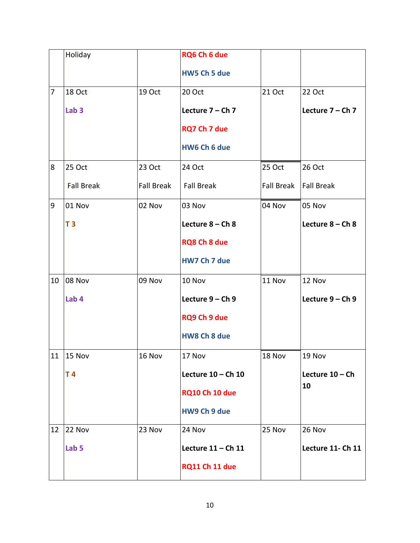|                | Holiday           |                   | RQ6 Ch 6 due          |                   |                    |
|----------------|-------------------|-------------------|-----------------------|-------------------|--------------------|
|                |                   |                   | HW5 Ch 5 due          |                   |                    |
| $\overline{7}$ | 18 Oct            | 19 Oct            | 20 Oct                | 21 Oct            | 22 Oct             |
|                | Lab <sub>3</sub>  |                   | Lecture 7 - Ch 7      |                   | Lecture 7 - Ch 7   |
|                |                   |                   | RQ7 Ch 7 due          |                   |                    |
|                |                   |                   | HW6 Ch 6 due          |                   |                    |
| 8              | 25 Oct            | 23 Oct            | 24 Oct                | 25 Oct            | 26 Oct             |
|                | <b>Fall Break</b> | <b>Fall Break</b> | <b>Fall Break</b>     | <b>Fall Break</b> | <b>Fall Break</b>  |
| 9              | 01 Nov            | 02 Nov            | 03 Nov                | 04 Nov            | 05 Nov             |
|                | T <sub>3</sub>    |                   | Lecture 8 - Ch 8      |                   | Lecture $8 - Ch 8$ |
|                |                   |                   | <b>RQ8 Ch 8 due</b>   |                   |                    |
|                |                   |                   | HW7 Ch 7 due          |                   |                    |
| 10             | 08 Nov            | 09 Nov            | 10 Nov                | 11 Nov            | 12 Nov             |
|                | Lab 4             |                   | Lecture 9 - Ch 9      |                   | Lecture $9 - Ch$ 9 |
|                |                   |                   | RQ9 Ch 9 due          |                   |                    |
|                |                   |                   | HW8 Ch 8 due          |                   |                    |
|                | 11   15 Nov       | 16 Nov            | 17 Nov                | 18 Nov            | 19 Nov             |
|                | T4                |                   | Lecture $10 - Ch$ 10  |                   | Lecture $10 - Ch$  |
|                |                   |                   | <b>RQ10 Ch 10 due</b> |                   | 10                 |
|                |                   |                   | HW9 Ch 9 due          |                   |                    |
| 12             | 22 Nov            | 23 Nov            | 24 Nov                | 25 Nov            | 26 Nov             |
|                | Lab <sub>5</sub>  |                   | Lecture $11 - Ch$ 11  |                   | Lecture 11- Ch 11  |
|                |                   |                   | <b>RQ11 Ch 11 due</b> |                   |                    |